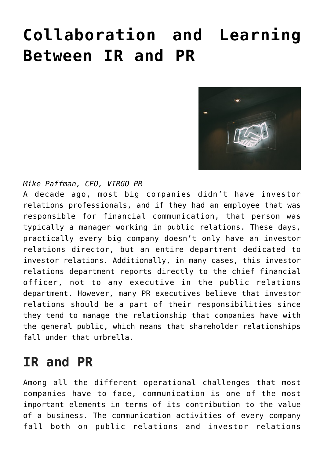## **[Collaboration and Learning](https://www.commpro.biz/collaboration-and-learning-between-ir-and-pr/) [Between IR and PR](https://www.commpro.biz/collaboration-and-learning-between-ir-and-pr/)**



*Mike Paffman, CEO, [VIRGO PR](http://www.virgo-pr.com/)*

A decade ago, most big companies didn't have investor relations professionals, and if they had an employee that was responsible for financial communication, that person was typically a manager working in [public relations](http://www.virgo-pr.com/). These days, practically every big company doesn't only have an investor relations director, but an entire department dedicated to investor relations. Additionally, in many cases, this investor relations department reports directly to the chief financial officer, not to any executive in the public relations department. However, many [PR](https://www.commpro.biz/public-relations-section/) executives believe that investor relations should be a part of their responsibilities since they tend to manage the relationship that companies have with the general public, which means that shareholder relationships fall under that umbrella.

## **IR and PR**

Among all the different operational challenges that most companies have to face, communication is one of the most important elements in terms of its contribution to the value of a business. The communication activities of every company fall both on public relations and investor relations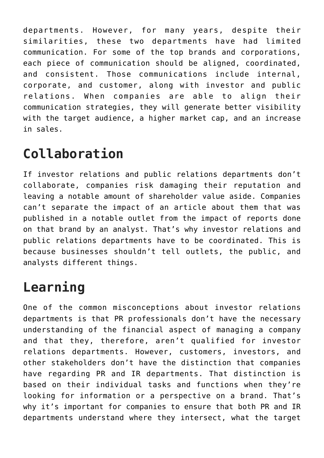departments. However, for many years, despite their similarities, these two departments have had limited communication. For some of the top brands and corporations, each piece of communication should be aligned, coordinated, and consistent. Those communications include internal, corporate, and customer, along with investor and public relations. When companies are able to align their communication strategies, they will generate better visibility with the target audience, a higher market cap, and an increase in sales.

## **Collaboration**

If investor relations and public relations departments don't collaborate, companies risk damaging their reputation and leaving a notable amount of shareholder value aside. Companies can't separate the impact of an article about them that was published in a notable outlet from the impact of reports done on that brand by an analyst. That's why investor relations and public relations departments have to be coordinated. This is because businesses shouldn't tell outlets, the public, and analysts different things.

## **Learning**

One of the common misconceptions about investor relations departments is that PR professionals don't have the necessary understanding of the financial aspect of managing a company and that they, therefore, aren't qualified for investor relations departments. However, customers, investors, and other stakeholders don't have the distinction that companies have regarding [PR](http://www.virgo-pr.com/) and IR departments. That distinction is based on their individual tasks and functions when they're looking for information or a perspective on a brand. That's why it's important for companies to ensure that both PR and IR departments understand where they intersect, what the target